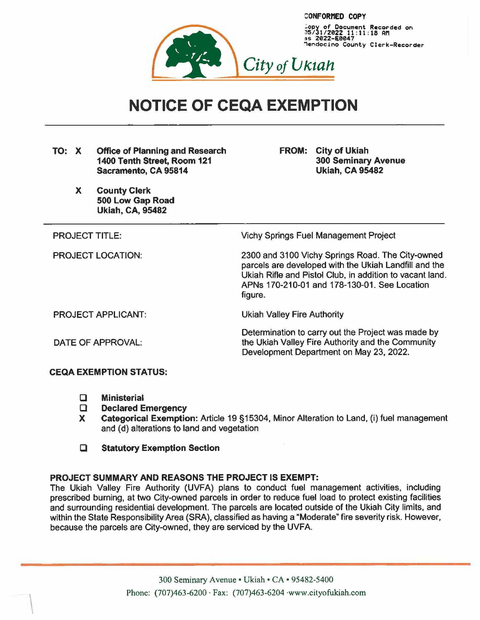

## **NOTICE OF CEQA EXEMPTION**

- TO: X Office of Planning and Research 1400 Tenth Street, Room 121 Sacramento, CA 95814
	- X County Clerk 500 Low Gap Road Ukiah, CA, 95482

FROM: City of Ukiah 300 Seminary Avenue Ukiah, CA 95482

Vichy Springs Fuel Management Project

Ukiah Valley Fire Authority

2300 and 3100 Vichy Springs Road. The City-owned parcels are developed with the Ukiah Landfill and the Ukiah Rifle and Pistol Club, in addition to vacant land. APNs 170-210-01 and 178-130-01. See Location figure.

PROJECT APPLICANT:

PROJECT TITLE:

PROJECT LOCATION:

DATE OF APPROVAL:

 $\mathcal{L}$ 

Determination to carry out the Project was made by the Ukiah Valley Fire Authority and the Community Development Department on May 23, 2022.

## CEQA EXEMPTION STATUS:

- 0 Ministerial
- 0 Declared Emergency
- X Categorical Exemption: Article 19 §15304, Minor Alteration to Land, (i) fuel management and (d) alterations to land and vegetation
- **Q** Statutory Exemption Section

## PROJECT SUMMARY AND REASONS THE PROJECT IS EXEMPT:

The Ukiah Valley Fire Authority (UVFA) plans to conduct fuel management activities, including prescribed burning, at two City-owned parcels in order to reduce fuel load to protect existing facilities and surrounding residential development. The parcels are located outside of the Ukiah City limits, and within the State Responsibility Area (SRA), classified as having a "Moderate" fire severity risk. However, because the parcels are City-owned, they are serviced by the UVFA.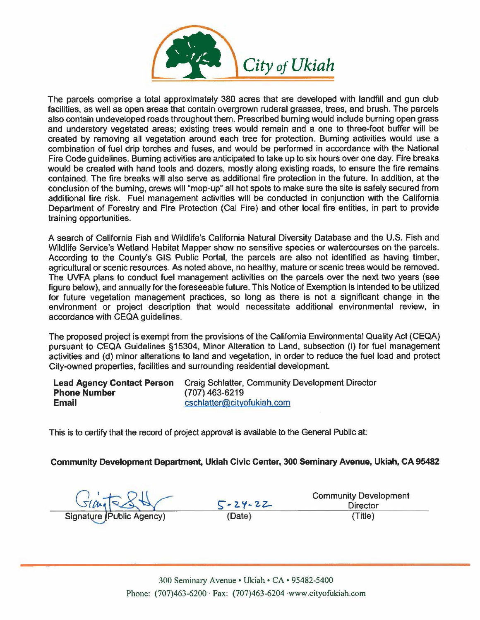

The parcels comprise a total approximately 380 acres that are developed with landfill and gun club facilities, as well as open areas that contain overgrown ruderal grasses. trees, and brush. The parcels also contain undeveloped roads throughout them. Prescribed burning would include burning open grass and understory vegetated areas; existing trees would remain and a one to three-foot buffer will be created by removing all vegetation around each tree for protection. Burning activities would use a combination of fuel drip torches and fuses, and would be performed in accordance with the National Fire Code guidelines. Burning activities are anticipated to take up to six hours over one day. Fire breaks would be created with hand tools and dozers, mostly along existing roads, to ensure the fire remains contained. The fire breaks will also serve as additional fire protection in the future. In addition, at the conclusion of the burning, crews will "mop-up" all hot spots to make sure the site is safely secured from additional fire risk. Fuel management activities will be conducted in conjunction with the California Department of Forestry and Fire Protection (Cal Fire) and other local fire entities, in part to provide training opportunities.

A search of California Fish and Wildlife's California Natural Diversity Database and the U.S. Fish and Wildlife Service's Wetland Habitat Mapper show no sensitive species or watercourses on the parcels. According to the County's GIS Public Portal, the parcels are also not identified as having timber, agricultural or scenic resources. As noted above, no healthy, mature or scenic trees would be removed. The UVFA plans to conduct fuel management activities on the parcels over the next two years (see figure below), and annually for the foreseeable future. This Notice of Exemption is intended to be utilized for future vegetation management practices, so long as there is not a significant change in the environment or project description that would necessitate additional environmental review, in accordance with CEQA guidelines.

The proposed project is exempt from the provisions of the California Environmental Quality Act (CEQA) pursuant to CEQA Guidelines §15304, Minor Alteration to Land, subsection (i) for fuel management activities and (d) minor alterations to land and vegetation, in order to reduce the fuel load and protect City-owned properties, facilities and surrounding residential development.

| <b>Lead Agency Contact Person</b> | Craig Schlatter, Community Development Director |
|-----------------------------------|-------------------------------------------------|
| <b>Phone Number</b>               | (707) 463-6219                                  |
| <b>Email</b>                      | cschlatter@cityofukiah.com                      |

This is to certify that the record of project approval is available to the General Public at:

Community Development Department, Ukiah Civic Center, 300 Seminary Avenue, Ukiah, CA 95482

Signature (Public Agency)

 $\sqrt{5-24-22}$ <br>(Date)

Community Development<br>
Director<br>
(Title)